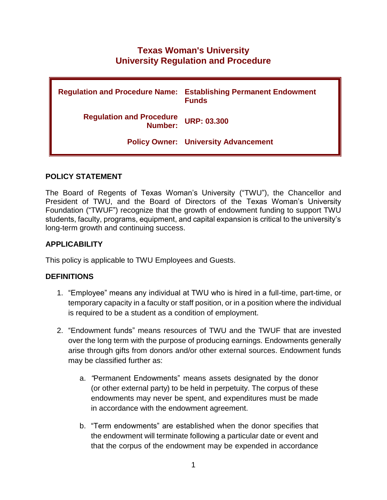# **Texas Woman's University University Regulation and Procedure**

|                                             | <b>Regulation and Procedure Name: Establishing Permanent Endowment</b><br><b>Funds</b> |
|---------------------------------------------|----------------------------------------------------------------------------------------|
| <b>Regulation and Procedure<br/>Number:</b> | <b>URP: 03.300</b>                                                                     |
|                                             | <b>Policy Owner: University Advancement</b>                                            |

### **POLICY STATEMENT**

The Board of Regents of Texas Woman's University ("TWU"), the Chancellor and President of TWU, and the Board of Directors of the Texas Woman's University Foundation ("TWUF") recognize that the growth of endowment funding to support TWU students, faculty, programs, equipment, and capital expansion is critical to the university's long-term growth and continuing success.

# **APPLICABILITY**

This policy is applicable to TWU Employees and Guests.

### **DEFINITIONS**

- 1. "Employee" means any individual at TWU who is hired in a full-time, part-time, or temporary capacity in a faculty or staff position, or in a position where the individual is required to be a student as a condition of employment.
- 2. "Endowment funds" means resources of TWU and the TWUF that are invested over the long term with the purpose of producing earnings. Endowments generally arise through gifts from donors and/or other external sources. Endowment funds may be classified further as:
	- a. *"*Permanent Endowments" means assets designated by the donor (or other external party) to be held in perpetuity. The corpus of these endowments may never be spent, and expenditures must be made in accordance with the endowment agreement.
	- b. "Term endowments" are established when the donor specifies that the endowment will terminate following a particular date or event and that the corpus of the endowment may be expended in accordance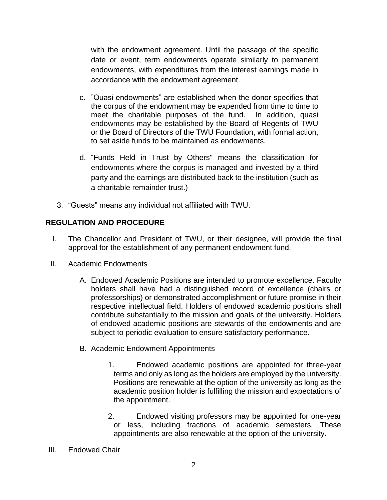with the endowment agreement. Until the passage of the specific date or event, term endowments operate similarly to permanent endowments, with expenditures from the interest earnings made in accordance with the endowment agreement.

- c. "Quasi endowments" are established when the donor specifies that the corpus of the endowment may be expended from time to time to meet the charitable purposes of the fund. In addition, quasi endowments may be established by the Board of Regents of TWU or the Board of Directors of the TWU Foundation, with formal action, to set aside funds to be maintained as endowments.
- d. "Funds Held in Trust by Others" means the classification for endowments where the corpus is managed and invested by a third party and the earnings are distributed back to the institution (such as a charitable remainder trust.)
- 3. "Guests" means any individual not affiliated with TWU.

# **REGULATION AND PROCEDURE**

- I. The Chancellor and President of TWU, or their designee, will provide the final approval for the establishment of any permanent endowment fund.
- II. Academic Endowments
	- A. Endowed Academic Positions are intended to promote excellence. Faculty holders shall have had a distinguished record of excellence (chairs or professorships) or demonstrated accomplishment or future promise in their respective intellectual field. Holders of endowed academic positions shall contribute substantially to the mission and goals of the university. Holders of endowed academic positions are stewards of the endowments and are subject to periodic evaluation to ensure satisfactory performance.
	- B. Academic Endowment Appointments
		- 1. Endowed academic positions are appointed for three-year terms and only as long as the holders are employed by the university. Positions are renewable at the option of the university as long as the academic position holder is fulfilling the mission and expectations of the appointment.
		- 2. Endowed visiting professors may be appointed for one-year or less, including fractions of academic semesters. These appointments are also renewable at the option of the university.
- III. Endowed Chair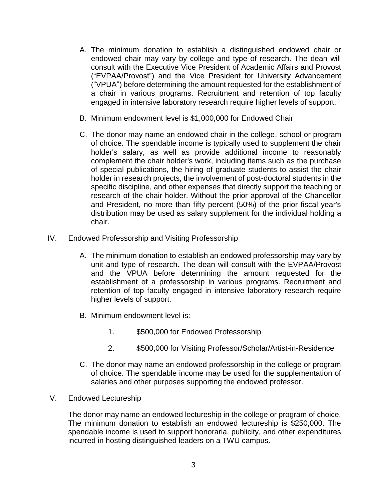- A. The minimum donation to establish a distinguished endowed chair or endowed chair may vary by college and type of research. The dean will consult with the Executive Vice President of Academic Affairs and Provost ("EVPAA/Provost") and the Vice President for University Advancement ("VPUA") before determining the amount requested for the establishment of a chair in various programs. Recruitment and retention of top faculty engaged in intensive laboratory research require higher levels of support.
- B. Minimum endowment level is \$1,000,000 for Endowed Chair
- C. The donor may name an endowed chair in the college, school or program of choice. The spendable income is typically used to supplement the chair holder's salary, as well as provide additional income to reasonably complement the chair holder's work, including items such as the purchase of special publications, the hiring of graduate students to assist the chair holder in research projects, the involvement of post-doctoral students in the specific discipline, and other expenses that directly support the teaching or research of the chair holder. Without the prior approval of the Chancellor and President, no more than fifty percent (50%) of the prior fiscal year's distribution may be used as salary supplement for the individual holding a chair.
- IV. Endowed Professorship and Visiting Professorship
	- A. The minimum donation to establish an endowed professorship may vary by unit and type of research. The dean will consult with the EVPAA/Provost and the VPUA before determining the amount requested for the establishment of a professorship in various programs. Recruitment and retention of top faculty engaged in intensive laboratory research require higher levels of support.
	- B. Minimum endowment level is:
		- 1. \$500,000 for Endowed Professorship
		- 2. \$500,000 for Visiting Professor/Scholar/Artist-in-Residence
	- C. The donor may name an endowed professorship in the college or program of choice. The spendable income may be used for the supplementation of salaries and other purposes supporting the endowed professor.
- V. Endowed Lectureship

The donor may name an endowed lectureship in the college or program of choice. The minimum donation to establish an endowed lectureship is \$250,000. The spendable income is used to support honoraria, publicity, and other expenditures incurred in hosting distinguished leaders on a TWU campus.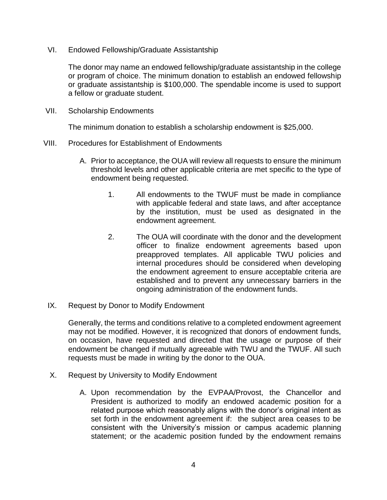VI. Endowed Fellowship/Graduate Assistantship

The donor may name an endowed fellowship/graduate assistantship in the college or program of choice. The minimum donation to establish an endowed fellowship or graduate assistantship is \$100,000. The spendable income is used to support a fellow or graduate student.

VII. Scholarship Endowments

The minimum donation to establish a scholarship endowment is \$25,000.

- VIII. Procedures for Establishment of Endowments
	- A. Prior to acceptance, the OUA will review all requests to ensure the minimum threshold levels and other applicable criteria are met specific to the type of endowment being requested.
		- 1. All endowments to the TWUF must be made in compliance with applicable federal and state laws, and after acceptance by the institution, must be used as designated in the endowment agreement.
		- 2. The OUA will coordinate with the donor and the development officer to finalize endowment agreements based upon preapproved templates. All applicable TWU policies and internal procedures should be considered when developing the endowment agreement to ensure acceptable criteria are established and to prevent any unnecessary barriers in the ongoing administration of the endowment funds.
	- IX. Request by Donor to Modify Endowment

Generally, the terms and conditions relative to a completed endowment agreement may not be modified. However, it is recognized that donors of endowment funds, on occasion, have requested and directed that the usage or purpose of their endowment be changed if mutually agreeable with TWU and the TWUF. All such requests must be made in writing by the donor to the OUA.

- X. Request by University to Modify Endowment
	- A. Upon recommendation by the EVPAA/Provost, the Chancellor and President is authorized to modify an endowed academic position for a related purpose which reasonably aligns with the donor's original intent as set forth in the endowment agreement if: the subject area ceases to be consistent with the University's mission or campus academic planning statement; or the academic position funded by the endowment remains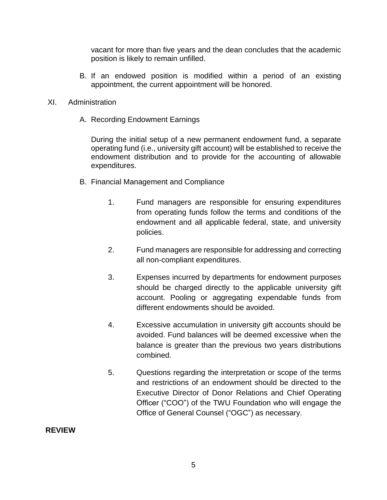vacant for more than five years and the dean concludes that the academic position is likely to remain unfilled.

B. If an endowed position is modified within a period of an existing appointment, the current appointment will be honored.

#### XI. Administration

A. Recording Endowment Earnings

During the initial setup of a new permanent endowment fund, a separate operating fund (i.e., university gift account) will be established to receive the endowment distribution and to provide for the accounting of allowable expenditures.

- B. Financial Management and Compliance
	- 1. Fund managers are responsible for ensuring expenditures from operating funds follow the terms and conditions of the endowment and all applicable federal, state, and university policies.
	- 2. Fund managers are responsible for addressing and correcting all non-compliant expenditures.
	- 3. Expenses incurred by departments for endowment purposes should be charged directly to the applicable university gift account. Pooling or aggregating expendable funds from different endowments should be avoided.
	- 4. Excessive accumulation in university gift accounts should be avoided. Fund balances will be deemed excessive when the balance is greater than the previous two years distributions combined.
	- 5. Questions regarding the interpretation or scope of the terms and restrictions of an endowment should be directed to the Executive Director of Donor Relations and Chief Operating Officer ("COO") of the TWU Foundation who will engage the Office of General Counsel ("OGC") as necessary.

#### **REVIEW**